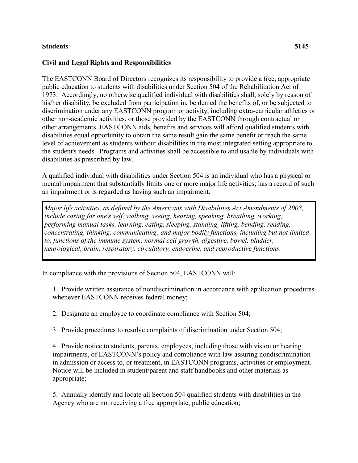## **Students 5145**

## **Civil and Legal Rights and Responsibilities**

The EASTCONN Board of Directors recognizes its responsibility to provide a free, appropriate public education to students with disabilities under Section 504 of the Rehabilitation Act of 1973. Accordingly, no otherwise qualified individual with disabilities shall, solely by reason of his/her disability, be excluded from participation in, be denied the benefits of, or be subjected to discrimination under any EASTCONN program or activity, including extra-curricular athletics or other non-academic activities, or those provided by the EASTCONN through contractual or other arrangements. EASTCONN aids, benefits and services will afford qualified students with disabilities equal opportunity to obtain the same result gain the same benefit or reach the same level of achievement as students without disabilities in the most integrated setting appropriate to the student's needs. Programs and activities shall be accessible to and usable by individuals with disabilities as prescribed by law.

A qualified individual with disabilities under Section 504 is an individual who has a physical or mental impairment that substantially limits one or more major life activities; has a record of such an impairment or is regarded as having such an impairment.

*Major life activities, as defined by the Americans with Disabilities Act Amendments of 2008, include caring for one's self, walking, seeing, hearing, speaking, breathing, working, performing manual tasks, learning, eating, sleeping, standing, lifting, bending, reading, concentrating, thinking, communicating; and major bodily functions, including but not limited to, functions of the immune system, normal cell growth, digestive, bowel, bladder, neurological, brain, respiratory, circulatory, endocrine, and reproductive functions.*

In compliance with the provisions of Section 504, EASTCONN will:

1. Provide written assurance of nondiscrimination in accordance with application procedures whenever EASTCONN receives federal money;

2. Designate an employee to coordinate compliance with Section 504;

3. Provide procedures to resolve complaints of discrimination under Section 504;

4. Provide notice to students, parents, employees, including those with vision or hearing impairments, of EASTCONN's policy and compliance with law assuring nondiscrimination in admission or access to, or treatment, in EASTCONN programs, activities or employment. Notice will be included in student/parent and staff handbooks and other materials as appropriate;

5. Annually identify and locate all Section 504 qualified students with disabilities in the Agency who are not receiving a free appropriate, public education;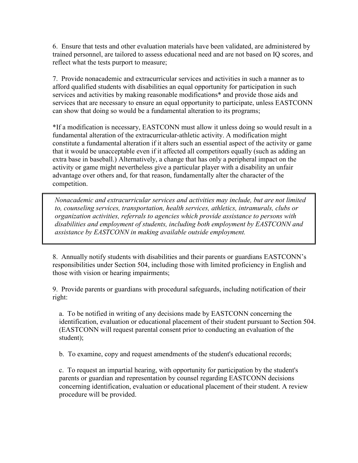6. Ensure that tests and other evaluation materials have been validated, are administered by trained personnel, are tailored to assess educational need and are not based on IQ scores, and reflect what the tests purport to measure;

7. Provide nonacademic and extracurricular services and activities in such a manner as to afford qualified students with disabilities an equal opportunity for participation in such services and activities by making reasonable modifications\* and provide those aids and services that are necessary to ensure an equal opportunity to participate, unless EASTCONN can show that doing so would be a fundamental alteration to its programs;

\*If a modification is necessary, EASTCONN must allow it unless doing so would result in a fundamental alteration of the extracurricular-athletic activity. A modification might constitute a fundamental alteration if it alters such an essential aspect of the activity or game that it would be unacceptable even if it affected all competitors equally (such as adding an extra base in baseball.) Alternatively, a change that has only a peripheral impact on the activity or game might nevertheless give a particular player with a disability an unfair advantage over others and, for that reason, fundamentally alter the character of the competition.

*Nonacademic and extracurricular services and activities may include, but are not limited to, counseling services, transportation, health services, athletics, intramurals, clubs or organization activities, referrals to agencies which provide assistance to persons with disabilities and employment of students, including both employment by EASTCONN and assistance by EASTCONN in making available outside employment.*

8. Annually notify students with disabilities and their parents or guardians EASTCONN's responsibilities under Section 504, including those with limited proficiency in English and those with vision or hearing impairments;

9. Provide parents or guardians with procedural safeguards, including notification of their right:

a. To be notified in writing of any decisions made by EASTCONN concerning the identification, evaluation or educational placement of their student pursuant to Section 504. (EASTCONN will request parental consent prior to conducting an evaluation of the student);

b. To examine, copy and request amendments of the student's educational records;

c. To request an impartial hearing, with opportunity for participation by the student's parents or guardian and representation by counsel regarding EASTCONN decisions concerning identification, evaluation or educational placement of their student. A review procedure will be provided.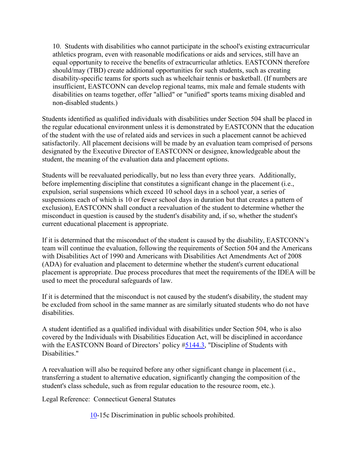10. Students with disabilities who cannot participate in the school's existing extracurricular athletics program, even with reasonable modifications or aids and services, still have an equal opportunity to receive the benefits of extracurricular athletics. EASTCONN therefore should/may (TBD) create additional opportunities for such students, such as creating disability-specific teams for sports such as wheelchair tennis or basketball. (If numbers are insufficient, EASTCONN can develop regional teams, mix male and female students with disabilities on teams together, offer "allied" or "unified" sports teams mixing disabled and non-disabled students.)

Students identified as qualified individuals with disabilities under Section 504 shall be placed in the regular educational environment unless it is demonstrated by EASTCONN that the education of the student with the use of related aids and services in such a placement cannot be achieved satisfactorily. All placement decisions will be made by an evaluation team comprised of persons designated by the Executive Director of EASTCONN or designee, knowledgeable about the student, the meaning of the evaluation data and placement options.

Students will be reevaluated periodically, but no less than every three years. Additionally, before implementing discipline that constitutes a significant change in the placement (i.e., expulsion, serial suspensions which exceed 10 school days in a school year, a series of suspensions each of which is 10 or fewer school days in duration but that creates a pattern of exclusion), EASTCONN shall conduct a reevaluation of the student to determine whether the misconduct in question is caused by the student's disability and, if so, whether the student's current educational placement is appropriate.

If it is determined that the misconduct of the student is caused by the disability, EASTCONN's team will continue the evaluation, following the requirements of Section 504 and the Americans with Disabilities Act of 1990 and Americans with Disabilities Act Amendments Act of 2008 (ADA) for evaluation and placement to determine whether the student's current educational placement is appropriate. Due process procedures that meet the requirements of the IDEA will be used to meet the procedural safeguards of law.

If it is determined that the misconduct is not caused by the student's disability, the student may be excluded from school in the same manner as are similarly situated students who do not have disabilities.

A student identified as a qualified individual with disabilities under Section 504, who is also covered by the Individuals with Disabilities Education Act, will be disciplined in accordance with the EASTCONN Board of Directors' policy [#5144.3,](http://z2policy.cabe.org/cabe/DocViewer.jsp?docid=320&z2collection=core#JD_5144.3) "Discipline of Students with Disabilities."

A reevaluation will also be required before any other significant change in placement (i.e., transferring a student to alternative education, significantly changing the composition of the student's class schedule, such as from regular education to the resource room, etc.).

Legal Reference: Connecticut General Statutes

[10-](http://www.cga.ct.gov/2011/pub/Title10.htm)15c Discrimination in public schools prohibited.